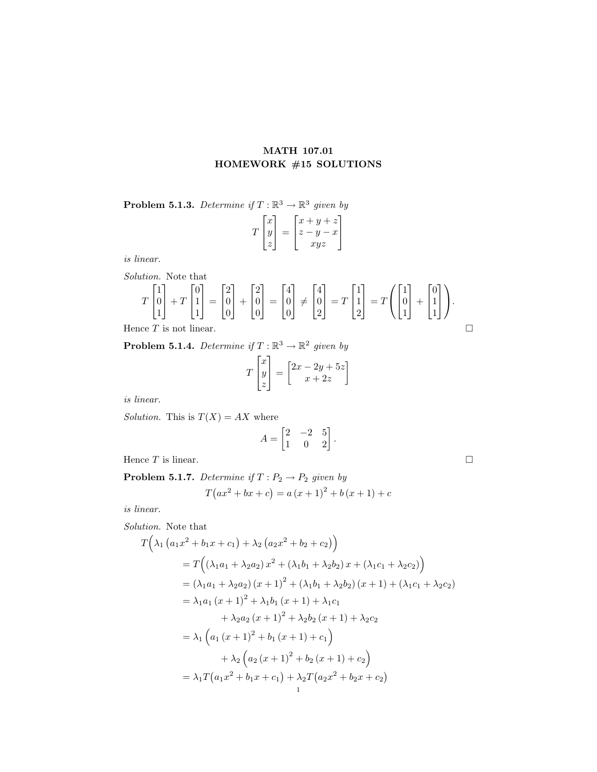## MATH 107.01 HOMEWORK #15 SOLUTIONS

**Problem 5.1.3.** Determine if  $T : \mathbb{R}^3 \to \mathbb{R}^3$  given by

| $\boldsymbol{x}$<br>Y | $+ z$ '<br>$\boldsymbol{y}$<br>$\boldsymbol{x}$ |
|-----------------------|-------------------------------------------------|
|                       | xyz                                             |

is linear.

 $\overline{\phantom{a}}$ 

1

Solution. Note that  
\n
$$
T\begin{bmatrix} 1 \\ 0 \\ 1 \end{bmatrix} + T\begin{bmatrix} 0 \\ 1 \\ 1 \end{bmatrix} = \begin{bmatrix} 2 \\ 0 \\ 0 \end{bmatrix} + \begin{bmatrix} 2 \\ 0 \\ 0 \end{bmatrix} = \begin{bmatrix} 4 \\ 0 \\ 0 \end{bmatrix} \neq \begin{bmatrix} 4 \\ 0 \\ 0 \end{bmatrix}
$$

 $\overline{\phantom{a}}$ 

0

 $\overline{1}$ 

0

 $\overline{1}$ 

0

 $\overline{1}$ 

2

1  $\Big|$  = T  $\lceil$  $\overline{1}$ 1 1 2

1  $\vert = T$   $\sqrt{ }$  $\mathcal{L}$  $\lceil$  $\overline{1}$ 1  $\overline{0}$ 1

1  $| +$   $\lceil$  $\overline{\phantom{a}}$  $\overline{0}$ 1 1

1  $\overline{1}$  $\setminus$  $\cdot$ 

Hence 
$$
T
$$
 is not linear.  $\Box$ 

 $\overline{\phantom{a}}$ 

1

**Problem 5.1.4.** Determine if  $T : \mathbb{R}^3 \to \mathbb{R}^2$  given by

$$
T\begin{bmatrix} x \\ y \\ z \end{bmatrix} = \begin{bmatrix} 2x - 2y + 5z \\ x + 2z \end{bmatrix}
$$

is linear.

Solution. This is  $T(X) = AX$  where

$$
A = \begin{bmatrix} 2 & -2 & 5 \\ 1 & 0 & 2 \end{bmatrix}.
$$

Hence  $T$  is linear.

**Problem 5.1.7.** Determine if  $T: P_2 \to P_2$  given by  $T(ax^2 + bx + c) = a (x + 1)^2 + b (x + 1) + c$ 

is linear.

Solution. Note that  
\n
$$
T\Big(\lambda_1 (a_1x^2 + b_1x + c_1) + \lambda_2 (a_2x^2 + b_2 + c_2)\Big)
$$
\n
$$
= T\Big((\lambda_1a_1 + \lambda_2a_2)x^2 + (\lambda_1b_1 + \lambda_2b_2)x + (\lambda_1c_1 + \lambda_2c_2)\Big)
$$
\n
$$
= (\lambda_1a_1 + \lambda_2a_2)(x+1)^2 + (\lambda_1b_1 + \lambda_2b_2)(x+1) + (\lambda_1c_1 + \lambda_2c_2)
$$
\n
$$
= \lambda_1a_1(x+1)^2 + \lambda_1b_1(x+1) + \lambda_1c_1
$$
\n
$$
+ \lambda_2a_2(x+1)^2 + \lambda_2b_2(x+1) + \lambda_2c_2
$$
\n
$$
= \lambda_1\Big(a_1(x+1)^2 + b_1(x+1) + c_1\Big)
$$
\n
$$
+ \lambda_2\Big(a_2(x+1)^2 + b_2(x+1) + c_2\Big)
$$
\n
$$
= \lambda_1T\Big(a_1x^2 + b_1x + c_1\Big) + \lambda_2T\Big(a_2x^2 + b_2x + c_2\Big)
$$

$$
\qquad \qquad \Box
$$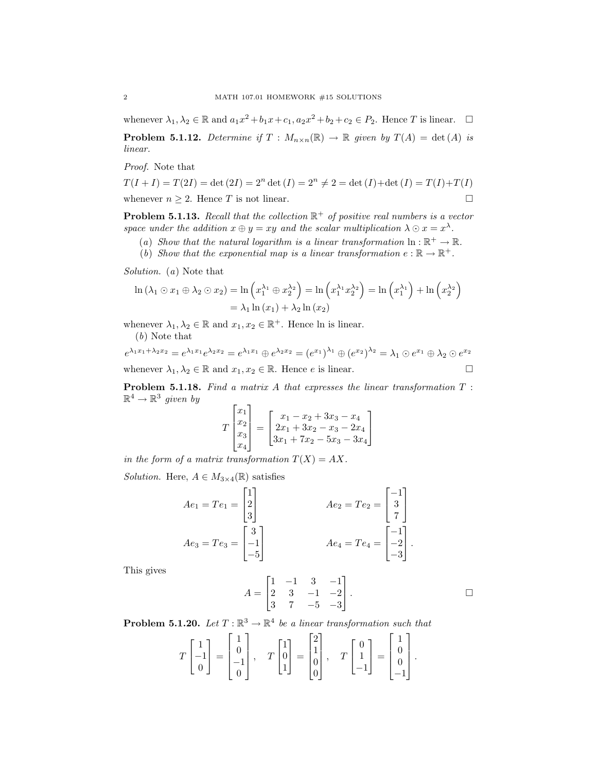whenever  $\lambda_1, \lambda_2 \in \mathbb{R}$  and  $a_1x^2 + b_1x + c_1$ ,  $a_2x^2 + b_2 + c_2 \in P_2$ . Hence T is linear.  $\Box$ 

**Problem 5.1.12.** Determine if  $T : M_{n \times n}(\mathbb{R}) \to \mathbb{R}$  given by  $T(A) = \det(A)$  is linear.

Proof. Note that

$$
T(I+I) = T(2I) = \det (2I) = 2n \det (I) = 2n \neq 2 = \det (I) + \det (I) = T(I) + T(I)
$$
  
whenever  $n \ge 2$ . Hence T is not linear.

**Problem 5.1.13.** Recall that the collection  $\mathbb{R}^+$  of positive real numbers is a vector space under the addition  $x \oplus y = xy$  and the scalar multiplication  $\lambda \odot x = x^{\lambda}$ .

- (a) Show that the natural logarithm is a linear transformation  $\ln : \mathbb{R}^+ \to \mathbb{R}$ .
- (b) Show that the exponential map is a linear transformation  $e : \mathbb{R} \to \mathbb{R}^+$ .

Solution. (a) Note that

$$
\ln (\lambda_1 \odot x_1 \oplus \lambda_2 \odot x_2) = \ln \left( x_1^{\lambda_1} \oplus x_2^{\lambda_2} \right) = \ln \left( x_1^{\lambda_1} x_2^{\lambda_2} \right) = \ln \left( x_1^{\lambda_1} \right) + \ln \left( x_2^{\lambda_2} \right)
$$

$$
= \lambda_1 \ln (x_1) + \lambda_2 \ln (x_2)
$$

whenever  $\lambda_1, \lambda_2 \in \mathbb{R}$  and  $x_1, x_2 \in \mathbb{R}^+$ . Hence ln is linear. (b) Note that

$$
e^{\lambda_1 x_1 + \lambda_2 x_2} = e^{\lambda_1 x_1} e^{\lambda_2 x_2} = e^{\lambda_1 x_1} \oplus e^{\lambda_2 x_2} = (e^{x_1})^{\lambda_1} \oplus (e^{x_2})^{\lambda_2} = \lambda_1 \odot e^{x_1} \oplus \lambda_2 \odot e^{x_2}
$$
  
whenever  $\lambda_1, \lambda_2 \in \mathbb{R}$  and  $x_1, x_2 \in \mathbb{R}$ . Hence *e* is linear.

Problem 5.1.18. Find a matrix A that expresses the linear transformation T :  $\mathbb{R}^4 \to \mathbb{R}^3$  given by

$$
T\begin{bmatrix} x_1 \\ x_2 \\ x_3 \\ x_4 \end{bmatrix} = \begin{bmatrix} x_1 - x_2 + 3x_3 - x_4 \\ 2x_1 + 3x_2 - x_3 - 2x_4 \\ 3x_1 + 7x_2 - 5x_3 - 3x_4 \end{bmatrix}
$$

in the form of a matrix transformation  $T(X) = AX$ .

Solution. Here,  $A \in M_{3\times 4}(\mathbb{R})$  satisfies

$$
Ae_1 = Te_1 = \begin{bmatrix} 1 \\ 2 \\ 3 \end{bmatrix} \qquad \qquad Ae_2 = Te_2 = \begin{bmatrix} -1 \\ 3 \\ 7 \end{bmatrix}
$$

$$
Ae_3 = Te_3 = \begin{bmatrix} 3 \\ -1 \\ -5 \end{bmatrix} \qquad \qquad Ae_4 = Te_4 = \begin{bmatrix} -1 \\ -2 \\ -3 \end{bmatrix}.
$$

This gives

$$
A = \begin{bmatrix} 1 & -1 & 3 & -1 \\ 2 & 3 & -1 & -2 \\ 3 & 7 & -5 & -3 \end{bmatrix}.
$$

**Problem 5.1.20.** Let  $T : \mathbb{R}^3 \to \mathbb{R}^4$  be a linear transformation such that

$$
T\begin{bmatrix} 1 \\ -1 \\ 0 \end{bmatrix} = \begin{bmatrix} 1 \\ 0 \\ -1 \\ 0 \end{bmatrix}, \quad T\begin{bmatrix} 1 \\ 0 \\ 1 \end{bmatrix} = \begin{bmatrix} 2 \\ 1 \\ 0 \\ 0 \end{bmatrix}, \quad T\begin{bmatrix} 0 \\ 1 \\ -1 \end{bmatrix} = \begin{bmatrix} 1 \\ 0 \\ 0 \\ -1 \end{bmatrix}.
$$